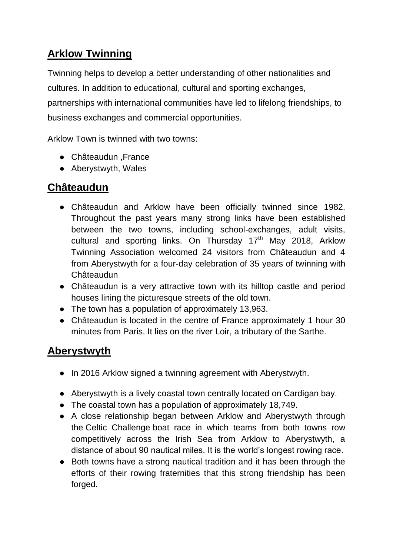## **Arklow Twinning**

Twinning helps to develop a better understanding of other nationalities and cultures. In addition to educational, cultural and sporting exchanges, partnerships with international communities have led to lifelong friendships, to business exchanges and commercial opportunities.

Arklow Town is twinned with two towns:

- Châteaudun ,France
- Aberystwyth, Wales

## **Châteaudun**

- Châteaudun and Arklow have been officially twinned since 1982. Throughout the past years many strong links have been established between the two towns, including school-exchanges, adult visits, cultural and sporting links. On Thursday  $17<sup>th</sup>$  May 2018, Arklow Twinning Association welcomed 24 visitors from Châteaudun and 4 from Aberystwyth for a four-day celebration of 35 years of twinning with Châteaudun
- Châteaudun is a very attractive town with its hilltop castle and period houses lining the picturesque streets of the old town.
- The town has a population of approximately 13,963.
- Châteaudun is located in the centre of France approximately 1 hour 30 minutes from Paris. It lies on the river [Loir,](https://en.wikipedia.org/wiki/Loir) a tributary of the [Sarthe.](https://en.wikipedia.org/wiki/Sarthe_(river))

## **Aberystwyth**

- In 2016 Arklow signed a twinning agreement with Aberystwyth.
- Aberystwyth is a lively coastal town centrally located on Cardigan bay.
- The coastal town has a population of approximately 18,749.
- A close relationship began between Arklow and Aberystwyth through the [Celtic Challenge](http://www.celtic-challenge.org.uk/) boat race in which teams from both towns row competitively across the Irish Sea from Arklow to Aberystwyth, a distance of about 90 nautical miles. It is the world's longest rowing race.
- Both towns have a strong nautical tradition and it has been through the efforts of their rowing fraternities that this strong friendship has been forged.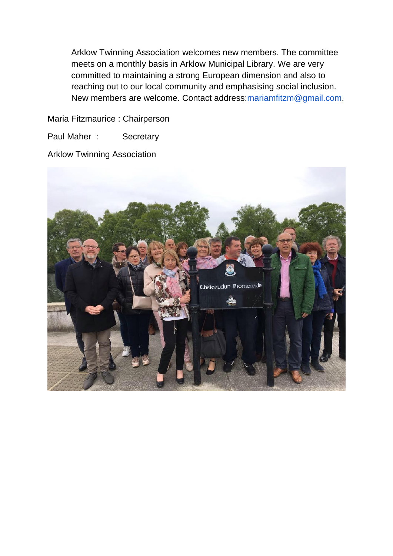Arklow Twinning Association welcomes new members. The committee meets on a monthly basis in Arklow Municipal Library. We are very committed to maintaining a strong European dimension and also to reaching out to our local community and emphasising social inclusion. New members are welcome. Contact address[:mariamfitzm@gmail.com.](mailto:mariamfitzm@gmail.com)

Maria Fitzmaurice : Chairperson

Paul Maher : Secretary

Arklow Twinning Association

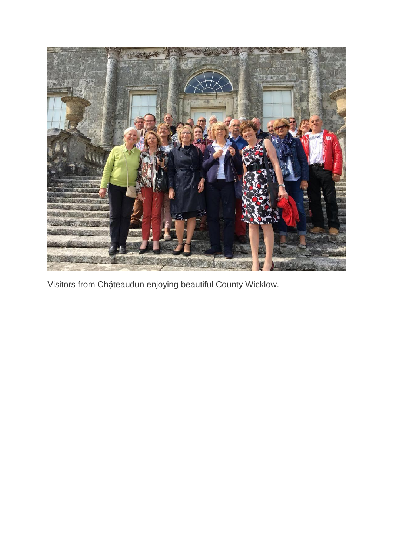

Visitors from Chặteaudun enjoying beautiful County Wicklow.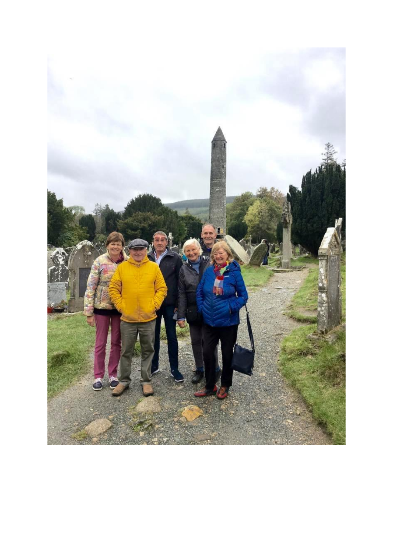